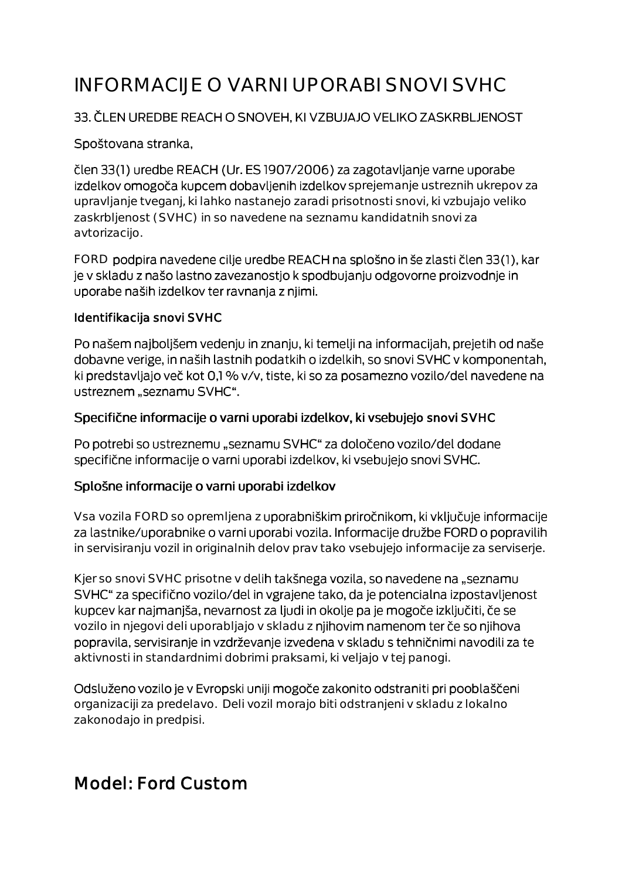# INFORMACIJE O VARNI UPORABI SNOVI SVHC

#### 33. ČLEN UREDBE REACH O SNOVEH, KI VZBUJAJO VELIKO ZASKRBLJENOST

#### Spoštovana stranka,

člen 33(1) uredbe REACH (Ur. ES 1907/2006) za zagotavljanje varne uporabe izdelkov omogoča kupcem dobavljenih izdelkov sprejemanje ustreznih ukrepov za upravljanje tveganj, ki lahko nastanejo zaradi prisotnosti snovi, ki vzbujajo veliko zaskrbljenost (SVHC) in so navedene na seznamu kandidatnih snovi za avtorizacijo.

FORD podpira navedene cilje uredbe REACH na splošno in še zlasti člen 33(1), kar je v skladu z našo lastno zavezanostjo k spodbujanju odgovorne proizvodnje in uporabe naših izdelkov ter ravnanja z njimi.

#### Identifikacija snovi SVHC

Po našem najboljšem vedenju in znanju, ki temelji na informacijah, prejetih od naše dobavne verige, in naših lastnih podatkih o izdelkih, so snovi SVHC v komponentah, ki predstavljajo več kot 0,1 % v/v, tiste, ki so za posamezno vozilo/del navedene na ustreznem "seznamu SVHC".

#### Specifične informacije o varni uporabi izdelkov, ki vsebujejo snovi SVHC

Po potrebi so ustreznemu "seznamu SVHC" za določeno vozilo/del dodane specifične informacije o varni uporabi izdelkov, ki vsebujejo snovi SVHC.

#### Splošne informacije o varni uporabi izdelkov

Vsa vozila FORD so opremljena z uporabniškim priročnikom, ki vključuje informacije za lastnike/uporabnike o varni uporabi vozila. Informacije družbe FORD o popravilih in servisiranju vozil in originalnih delov prav tako vsebujejo informacije za serviserje.

Kjer so snovi SVHC prisotne v delih takšnega vozila, so navedene na "seznamu SVHC" za specifično vozilo/del in vgrajene tako, da je potencialna izpostavljenost kupcev kar najmanjša, nevarnost za ljudi in okolje pa je mogoče izključiti, če se vozilo in njegovi deli uporabljajo v skladu z njihovim namenom ter če so njihova popravila, servisiranje in vzdrževanje izvedena v skladu s tehničnimi navodili za te aktivnosti in standardnimi dobrimi praksami, ki veljajo v tej panogi.

Odsluženo vozilo je v Evropski uniji mogoče zakonito odstraniti pri pooblaščeni organizaciji za predelavo. Deli vozil morajo biti odstranjeni v skladu z lokalno zakonodajo in predpisi.

# Model: Ford Custom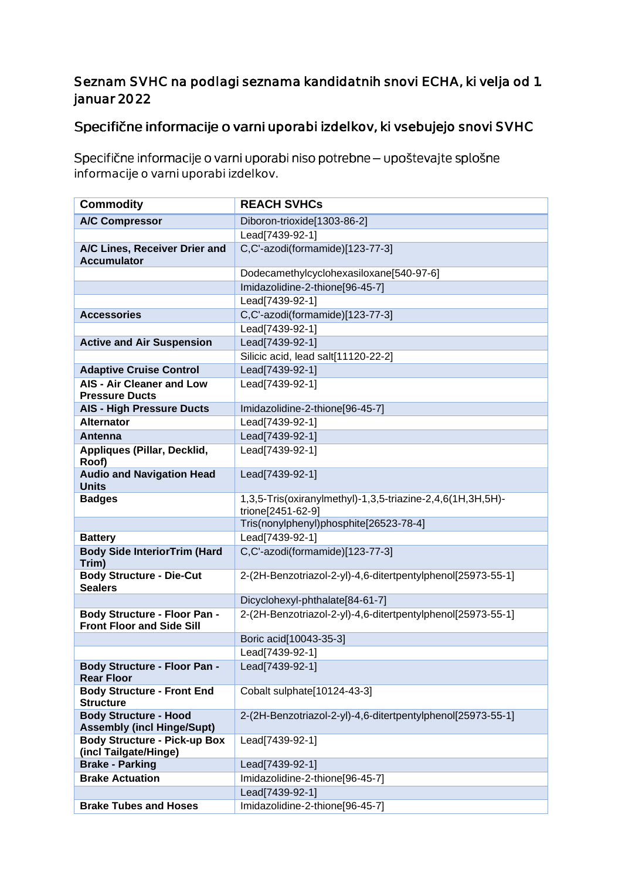### Seznam SVHC na podlagi seznama kandidatnih snovi ECHA, ki velja od 1. januar 2022

## Specifične informacije o varni uporabi izdelkov, ki vsebujejo snovi SVHC

Specifične informacije o varni uporabi niso potrebne - upoštevajte splošne informacije o varni uporabi izdelkov.

| <b>Commodity</b>                                                        | <b>REACH SVHCs</b>                                                              |
|-------------------------------------------------------------------------|---------------------------------------------------------------------------------|
| <b>A/C Compressor</b>                                                   | Diboron-trioxide[1303-86-2]                                                     |
|                                                                         | Lead[7439-92-1]                                                                 |
| A/C Lines, Receiver Drier and<br><b>Accumulator</b>                     | C,C'-azodi(formamide)[123-77-3]                                                 |
|                                                                         | Dodecamethylcyclohexasiloxane[540-97-6]                                         |
|                                                                         | Imidazolidine-2-thione[96-45-7]                                                 |
|                                                                         | Lead[7439-92-1]                                                                 |
| <b>Accessories</b>                                                      | C,C'-azodi(formamide)[123-77-3]                                                 |
|                                                                         | Lead[7439-92-1]                                                                 |
| <b>Active and Air Suspension</b>                                        | Lead[7439-92-1]                                                                 |
|                                                                         | Silicic acid, lead salt[11120-22-2]                                             |
| <b>Adaptive Cruise Control</b>                                          | Lead[7439-92-1]                                                                 |
| <b>AIS - Air Cleaner and Low</b><br><b>Pressure Ducts</b>               | Lead[7439-92-1]                                                                 |
| <b>AIS - High Pressure Ducts</b>                                        | Imidazolidine-2-thione[96-45-7]                                                 |
| <b>Alternator</b>                                                       | Lead[7439-92-1]                                                                 |
| Antenna                                                                 | Lead[7439-92-1]                                                                 |
| Appliques (Pillar, Decklid,<br>Roof)                                    | Lead[7439-92-1]                                                                 |
| <b>Audio and Navigation Head</b><br><b>Units</b>                        | Lead[7439-92-1]                                                                 |
| <b>Badges</b>                                                           | 1,3,5-Tris(oxiranylmethyl)-1,3,5-triazine-2,4,6(1H,3H,5H)-<br>trione[2451-62-9] |
|                                                                         | Tris(nonylphenyl)phosphite[26523-78-4]                                          |
| <b>Battery</b>                                                          | Lead[7439-92-1]                                                                 |
| <b>Body Side InteriorTrim (Hard</b><br>Trim)                            | C,C'-azodi(formamide)[123-77-3]                                                 |
| <b>Body Structure - Die-Cut</b><br><b>Sealers</b>                       | 2-(2H-Benzotriazol-2-yl)-4,6-ditertpentylphenol[25973-55-1]                     |
|                                                                         | Dicyclohexyl-phthalate[84-61-7]                                                 |
| <b>Body Structure - Floor Pan -</b><br><b>Front Floor and Side Sill</b> | 2-(2H-Benzotriazol-2-yl)-4,6-ditertpentylphenol[25973-55-1]                     |
|                                                                         | Boric acid[10043-35-3]                                                          |
|                                                                         | Lead[7439-92-1]                                                                 |
| <b>Body Structure - Floor Pan -</b><br><b>Rear Floor</b>                | Lead[7439-92-1]                                                                 |
| <b>Body Structure - Front End</b><br><b>Structure</b>                   | Cobalt sulphate[10124-43-3]                                                     |
| <b>Body Structure - Hood</b><br><b>Assembly (incl Hinge/Supt)</b>       | 2-(2H-Benzotriazol-2-yl)-4,6-ditertpentylphenol[25973-55-1]                     |
| <b>Body Structure - Pick-up Box</b><br>(incl Tailgate/Hinge)            | Lead[7439-92-1]                                                                 |
| <b>Brake - Parking</b>                                                  | Lead[7439-92-1]                                                                 |
| <b>Brake Actuation</b>                                                  | Imidazolidine-2-thione[96-45-7]                                                 |
|                                                                         | Lead[7439-92-1]                                                                 |
| <b>Brake Tubes and Hoses</b>                                            | Imidazolidine-2-thione[96-45-7]                                                 |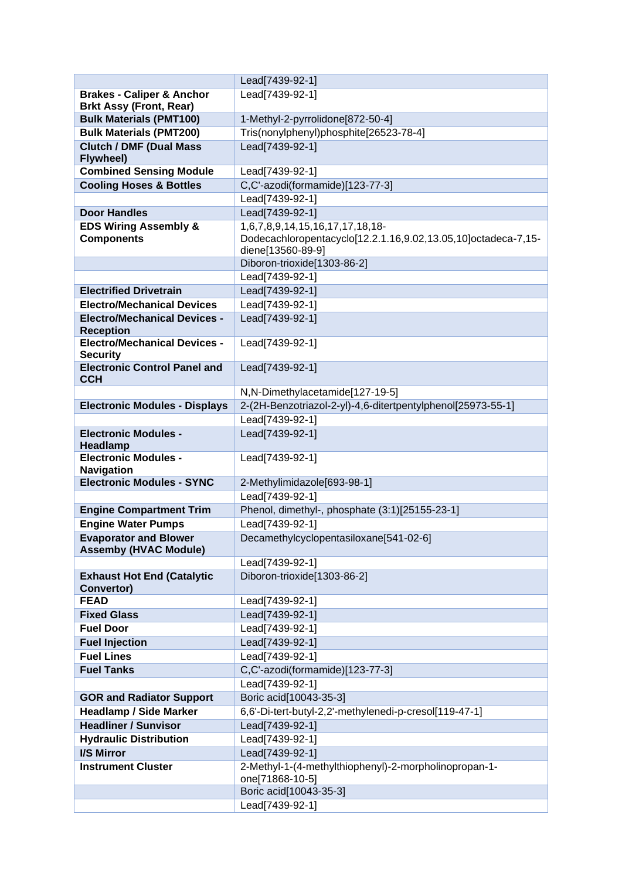|                                                                      | Lead[7439-92-1]                                                          |
|----------------------------------------------------------------------|--------------------------------------------------------------------------|
| <b>Brakes - Caliper &amp; Anchor</b>                                 | Lead[7439-92-1]                                                          |
| <b>Brkt Assy (Front, Rear)</b>                                       |                                                                          |
| <b>Bulk Materials (PMT100)</b>                                       | 1-Methyl-2-pyrrolidone[872-50-4]                                         |
| <b>Bulk Materials (PMT200)</b>                                       | Tris(nonylphenyl)phosphite[26523-78-4]                                   |
| <b>Clutch / DMF (Dual Mass</b>                                       | Lead[7439-92-1]                                                          |
| Flywheel)                                                            |                                                                          |
| <b>Combined Sensing Module</b><br><b>Cooling Hoses &amp; Bottles</b> | Lead[7439-92-1]                                                          |
|                                                                      | C,C'-azodi(formamide)[123-77-3]<br>Lead[7439-92-1]                       |
| <b>Door Handles</b>                                                  | Lead[7439-92-1]                                                          |
| <b>EDS Wiring Assembly &amp;</b>                                     | 1,6,7,8,9,14,15,16,17,17,18,18-                                          |
| <b>Components</b>                                                    | Dodecachloropentacyclo[12.2.1.16,9.02,13.05,10]octadeca-7,15-            |
|                                                                      | diene[13560-89-9]                                                        |
|                                                                      | Diboron-trioxide[1303-86-2]                                              |
|                                                                      | Lead[7439-92-1]                                                          |
| <b>Electrified Drivetrain</b>                                        | Lead[7439-92-1]                                                          |
| <b>Electro/Mechanical Devices</b>                                    | Lead[7439-92-1]                                                          |
| <b>Electro/Mechanical Devices -</b>                                  | Lead[7439-92-1]                                                          |
| <b>Reception</b>                                                     |                                                                          |
| <b>Electro/Mechanical Devices -</b>                                  | Lead[7439-92-1]                                                          |
| <b>Security</b>                                                      |                                                                          |
| <b>Electronic Control Panel and</b><br><b>CCH</b>                    | Lead[7439-92-1]                                                          |
|                                                                      | N,N-Dimethylacetamide[127-19-5]                                          |
| <b>Electronic Modules - Displays</b>                                 | 2-(2H-Benzotriazol-2-yl)-4,6-ditertpentylphenol[25973-55-1]              |
|                                                                      | Lead[7439-92-1]                                                          |
| <b>Electronic Modules -</b>                                          | Lead[7439-92-1]                                                          |
| Headlamp                                                             |                                                                          |
| <b>Electronic Modules -</b>                                          | Lead[7439-92-1]                                                          |
| <b>Navigation</b>                                                    |                                                                          |
| <b>Electronic Modules - SYNC</b>                                     | 2-Methylimidazole[693-98-1]                                              |
|                                                                      | Lead[7439-92-1]                                                          |
| <b>Engine Compartment Trim</b>                                       | Phenol, dimethyl-, phosphate (3:1)[25155-23-1]                           |
| <b>Engine Water Pumps</b>                                            | Lead[7439-92-1]                                                          |
| <b>Evaporator and Blower</b><br><b>Assemby (HVAC Module)</b>         | Decamethylcyclopentasiloxane[541-02-6]                                   |
|                                                                      | Lead[7439-92-1]                                                          |
| <b>Exhaust Hot End (Catalytic</b>                                    | Diboron-trioxide[1303-86-2]                                              |
| Convertor)                                                           |                                                                          |
| <b>FEAD</b>                                                          | Lead[7439-92-1]                                                          |
| <b>Fixed Glass</b>                                                   | Lead[7439-92-1]                                                          |
| <b>Fuel Door</b>                                                     | Lead[7439-92-1]                                                          |
| <b>Fuel Injection</b>                                                | Lead[7439-92-1]                                                          |
| <b>Fuel Lines</b>                                                    | Lead[7439-92-1]                                                          |
| <b>Fuel Tanks</b>                                                    | C,C'-azodi(formamide)[123-77-3]                                          |
|                                                                      | Lead[7439-92-1]                                                          |
| <b>GOR and Radiator Support</b>                                      | Boric acid[10043-35-3]                                                   |
| <b>Headlamp / Side Marker</b>                                        | 6,6'-Di-tert-butyl-2,2'-methylenedi-p-cresol[119-47-1]                   |
| <b>Headliner / Sunvisor</b>                                          | Lead[7439-92-1]                                                          |
| <b>Hydraulic Distribution</b>                                        | Lead[7439-92-1]                                                          |
| I/S Mirror                                                           | Lead[7439-92-1]                                                          |
| <b>Instrument Cluster</b>                                            | 2-Methyl-1-(4-methylthiophenyl)-2-morpholinopropan-1-<br>one[71868-10-5] |
|                                                                      | Boric acid[10043-35-3]                                                   |
|                                                                      | Lead[7439-92-1]                                                          |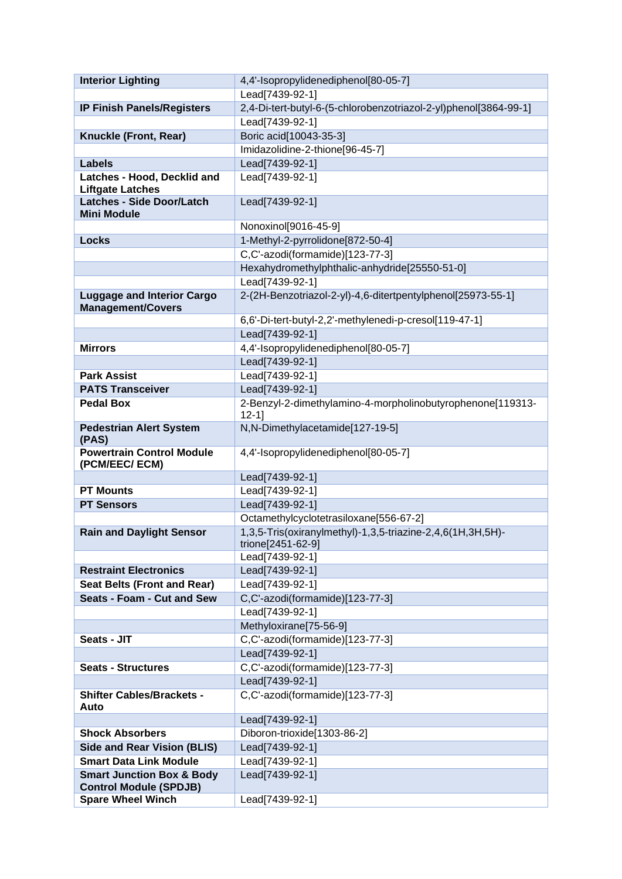| <b>Interior Lighting</b>                                      | 4,4'-Isopropylidenediphenol[80-05-7]                                            |
|---------------------------------------------------------------|---------------------------------------------------------------------------------|
|                                                               | Lead[7439-92-1]                                                                 |
| <b>IP Finish Panels/Registers</b>                             | 2,4-Di-tert-butyl-6-(5-chlorobenzotriazol-2-yl)phenol[3864-99-1]                |
|                                                               | Lead[7439-92-1]                                                                 |
| Knuckle (Front, Rear)                                         | Boric acid[10043-35-3]                                                          |
|                                                               | Imidazolidine-2-thione[96-45-7]                                                 |
| <b>Labels</b>                                                 | Lead[7439-92-1]                                                                 |
| Latches - Hood, Decklid and<br><b>Liftgate Latches</b>        | Lead[7439-92-1]                                                                 |
| <b>Latches - Side Door/Latch</b>                              | Lead[7439-92-1]                                                                 |
| <b>Mini Module</b>                                            |                                                                                 |
|                                                               | Nonoxinol[9016-45-9]                                                            |
| <b>Locks</b>                                                  | 1-Methyl-2-pyrrolidone[872-50-4]                                                |
|                                                               | C,C'-azodi(formamide)[123-77-3]                                                 |
|                                                               | Hexahydromethylphthalic-anhydride[25550-51-0]                                   |
|                                                               | Lead[7439-92-1]                                                                 |
| <b>Luggage and Interior Cargo</b><br><b>Management/Covers</b> | 2-(2H-Benzotriazol-2-yl)-4,6-ditertpentylphenol[25973-55-1]                     |
|                                                               | 6,6'-Di-tert-butyl-2,2'-methylenedi-p-cresol[119-47-1]                          |
|                                                               | Lead[7439-92-1]                                                                 |
| <b>Mirrors</b>                                                | 4,4'-Isopropylidenediphenol[80-05-7]                                            |
|                                                               | Lead[7439-92-1]                                                                 |
| <b>Park Assist</b><br><b>PATS Transceiver</b>                 | Lead[7439-92-1]                                                                 |
|                                                               | Lead[7439-92-1]                                                                 |
| <b>Pedal Box</b>                                              | 2-Benzyl-2-dimethylamino-4-morpholinobutyrophenone[119313-<br>$12 - 11$         |
| <b>Pedestrian Alert System</b><br>(PAS)                       | N,N-Dimethylacetamide[127-19-5]                                                 |
| <b>Powertrain Control Module</b><br>(PCM/EEC/ ECM)            | 4,4'-Isopropylidenediphenol[80-05-7]                                            |
|                                                               | Lead[7439-92-1]                                                                 |
| <b>PT Mounts</b>                                              | Lead[7439-92-1]                                                                 |
| <b>PT Sensors</b>                                             | Lead[7439-92-1]                                                                 |
|                                                               | Octamethylcyclotetrasiloxane[556-67-2]                                          |
| <b>Rain and Daylight Sensor</b>                               | 1,3,5-Tris(oxiranylmethyl)-1,3,5-triazine-2,4,6(1H,3H,5H)-<br>trione[2451-62-9] |
|                                                               | Lead[7439-92-1]                                                                 |
| <b>Restraint Electronics</b>                                  | Lead[7439-92-1]                                                                 |
| <b>Seat Belts (Front and Rear)</b>                            | Lead[7439-92-1]                                                                 |
| Seats - Foam - Cut and Sew                                    | C,C'-azodi(formamide)[123-77-3]                                                 |
|                                                               | Lead[7439-92-1]                                                                 |
|                                                               | Methyloxirane[75-56-9]                                                          |
| Seats - JIT                                                   | C,C'-azodi(formamide)[123-77-3]                                                 |
|                                                               | Lead[7439-92-1]                                                                 |
| <b>Seats - Structures</b>                                     | C,C'-azodi(formamide)[123-77-3]                                                 |
| <b>Shifter Cables/Brackets -</b>                              | Lead[7439-92-1]<br>C,C'-azodi(formamide)[123-77-3]                              |
| Auto                                                          |                                                                                 |
|                                                               | Lead[7439-92-1]                                                                 |
| <b>Shock Absorbers</b>                                        | Diboron-trioxide[1303-86-2]                                                     |
| <b>Side and Rear Vision (BLIS)</b>                            | Lead[7439-92-1]                                                                 |
| <b>Smart Data Link Module</b>                                 | Lead[7439-92-1]                                                                 |
| <b>Smart Junction Box &amp; Body</b>                          | Lead[7439-92-1]                                                                 |
| <b>Control Module (SPDJB)</b>                                 |                                                                                 |
| <b>Spare Wheel Winch</b>                                      | Lead[7439-92-1]                                                                 |